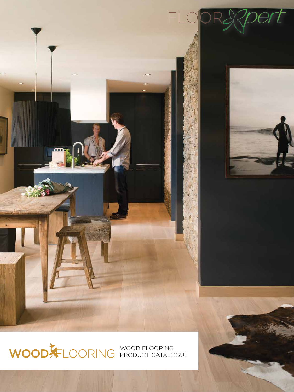

WOOD FLOORING PRODUCT CATALOGUE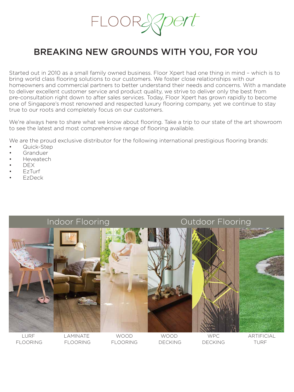FLOOR.

### BREAKING NEW GROUNDS WITH YOU, FOR YOU

Started out in 2010 as a small family owned business. Floor Xpert had one thing in mind – which is to bring world class flooring solutions to our customers. We foster close relationships with our homeowners and commercial partners to better understand their needs and concerns. With a mandate to deliver excellent customer service and product quality, we strive to deliver only the best from pre-consultation right down to after sales services. Today, Floor Xpert has grown rapidly to become one of Singapore's most renowned and respected luxury flooring company, yet we continue to stay true to our roots and completely focus on our customers.

We're always here to share what we know about flooring. Take a trip to our state of the art showroom to see the latest and most comprehensive range of flooring available.

We are the proud exclusive distributor for the following international prestigious flooring brands:

- Quick-Step
- Granduer
- Heveatech
- DEX
- EzTurf
- EzDeck

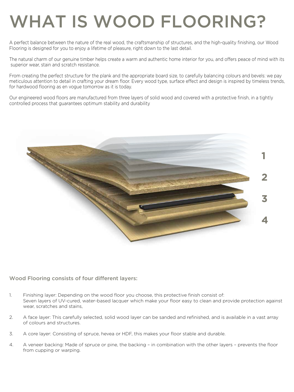## WHAT IS WOOD FLOORING?

A perfect balance between the nature of the real wood, the craftsmanship of structures, and the high-quality finishing, our Wood Flooring is designed for you to enjoy a lifetime of pleasure, right down to the last detail.

The natural charm of our genuine timber helps create a warm and authentic home interior for you, and offers peace of mind with its superior wear, stain and scratch resistance.

From creating the perfect structure for the plank and the appropriate board size, to carefully balancing colours and bevels: we pay meticulous attention to detail in crafting your dream floor. Every wood type, surface effect and design is inspired by timeless trends, for hardwood flooring as en vogue tomorrow as it is today.

Our engineered wood floors are manufactured from three layers of solid wood and covered with a protective finish, in a tightly controlled process that guarantees optimum stability and durability



#### Wood Flooring consists of four different layers:

- 1. Finishing layer: Depending on the wood floor you choose, this protective finish consist of: Seven layers of UV-cured, water-based lacquer which make your floor easy to clean and provide protection against wear, scratches and stains,
- 2. A face layer: This carefully selected, solid wood layer can be sanded and refinished, and is available in a vast array of colours and structures.
- 3. A core layer: Consisting of spruce, hevea or HDF, this makes your floor stable and durable.
- 4. A veneer backing: Made of spruce or pine, the backing in combination with the other layers prevents the floor from cupping or warping.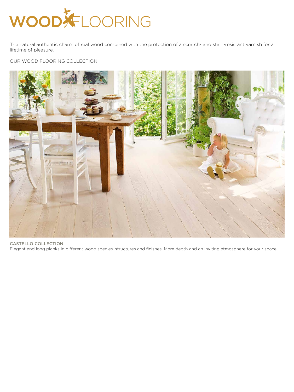# WOOD FLOORING

The natural authentic charm of real wood combined with the protection of a scratch- and stain-resistant varnish for a lifetime of pleasure.

#### OUR WOOD FLOORING COLLECTION



CASTELLO COLLECTION Elegant and long planks in different wood species. structures and finishes. More depth and an inviting atmosphere for your space.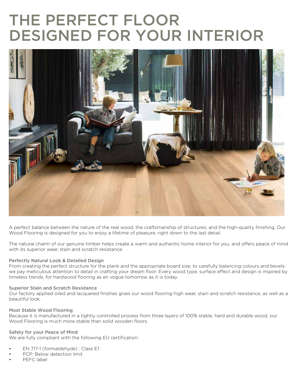## THE PERFECT FLOOR DESIGNED FOR YOUR INTERIOR



A perfect balance between the nature of the real wood, the craftsmanship of structures, and the high-quality finishing, Our Wood Flooring is designed for you to enjoy a lifetime of pleasure, right down to the last detail.

The natural charm of our genuine timber helps create a warm and authentic home interior for you, and offers peace of mind with its superior wear, stain and scratch resistance.

#### Perfectly Natural Look & Detailed Design

From creating the perfect structure for the plank and the appropriate board size, to carefully balancing colours and bevels: we pay meticulous attention to detail in crafting your dream floor. Every wood type, surface effect and design is inspired by timeless trends, for hardwood flooring as en vogue tomorrow as it is today.

#### Superior Stain and Scratch Resistance

Our factory applied oiled and lacquered finishes gives our wood flooring high wear, stain and scratch resistance, as well as a beautiful look.

#### Most Stable Wood Flooring

Because it is manufactured in a tightly controlled process from three layers of 100% stable, hard and durable wood, our Wood Flooring is much more stable than solid wooden floors.

#### Safety for your Peace of Mind

We are fully compliant with the following EU certification:

- EN 717-1 (formaldehyde) : Class E1
- PCP: Below detection limit
- PEFC label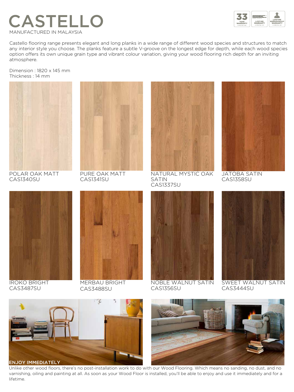



Castello flooring range presents elegant and long planks in a wide range of different wood species and structures to match any interior style you choose. The planks feature a subtle V-groove on the longest edge for depth, while each wood species option offers its own unique grain type and vibrant colour variation, giving your wood flooring rich depth for an inviting atmosphere.

Dimension : 1820 x 145 mm Thickness : 14 mm



POLAR OAK MATT CAS1340SU



PURE OAK MATT CAS1341SU



NATURAL MYSTIC OAK SATIN CAS1337SU



JATOBA SATIN CAS1358SU



IROKO BRIGHT CAS3487SU



MERBAU BRIGHT CAS3488SU



NOBLE WALNUT SATIN CAS1356SU



SWEET WALNUT SATIN CAS3444SU



Unlike other wood floors, there's no post-installation work to do with our Wood Flooring. Which means no sanding, no dust, and no varnishing, oiling and painting at all. As soon as your Wood Floor is installed, you'll be able to enjoy and use it immediately and for a lifetime.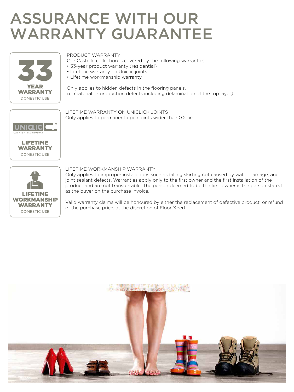### ASSURANCE WITH OUR WARRANTY GUARANTEE



#### PRODUCT WARRANTY

Our Castello collection is covered by the following warranties:

- 33-year product warranty (residential)
- Lifetime warranty on Uniclic joints
- Lifetime workmanship warranty

Only applies to hidden defects in the flooring panels, i.e. material or production defects including delamination of the top layer)





#### LIFETIME WARRANTY ON UNICLICK JOINTS Only applies to permanent open joints wider than 0.2mm.

#### LIFETIME WORKMANSHIP WARRANTY

Only applies to improper installations such as falling skirting not caused by water damage, and joint sealant defects. Warranties apply only to the first owner and the first installation of the product and are not transferrable. The person deemed to be the first owner is the person stated as the buyer on the purchase invoice.

Valid warranty claims will be honoured by either the replacement of defective product, or refund of the purchase price, at the discretion of Floor Xpert.

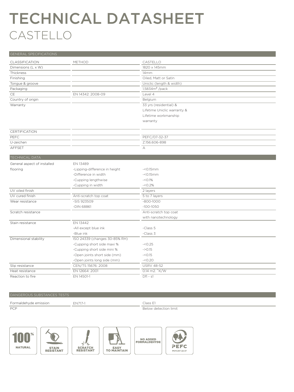### TECHNICAL DATASHEET CASTELLO

| <b>GENERAL SPECIFICATIONS</b> |                               |                             |
|-------------------------------|-------------------------------|-----------------------------|
| CLASSIFICATION                | METHOD                        | CASTELLO                    |
| Dimensions (L x W)            |                               | 1820 x 145mm                |
| Thickness                     |                               | 14 <sub>mm</sub>            |
| Finishing                     |                               | Oiled, Matt or Satin        |
| Tongue & groove               |                               | Uniclic (length & width)    |
| Packaging                     |                               | $1,5834m2$ /pack            |
| CE                            | EN 14342: 2008-09             | Level 4                     |
| Country of origin             |                               | Belgium                     |
| Warranty                      |                               | 33 yrs (residential) &      |
|                               |                               | Lifetime Uniclic warranty & |
|                               |                               | Lifetime workmanship        |
|                               |                               | warranty                    |
| <b>CERTIFICATION</b>          |                               |                             |
| PEFC                          |                               | PEFC/07-32-37               |
| U-zeichen                     |                               | Z.156.606-898               |
| AFFSET                        |                               | А                           |
| <b>TECHNICAL DATA</b>         |                               |                             |
| General aspect of installed   | EN 13489                      |                             |
| flooring                      | -Lipping-difference in height | $-50.15mm$                  |
|                               | -Difference in width          | $-<$ 0.15 $mm$              |
|                               | -Cupping lengthwise           | $-C.1%$                     |
|                               | -Cupping in width             | $-50.2\%$                   |
| UV oiled finish               |                               | 2 layers                    |
| UV cured finish               | Anti-scratch top coat         | 5 to 7 layers               |
| Wear resistance               | -SIS 923509                   | $-800 - 1000$               |
|                               | -DIN 68861                    | $-100 - 1050$               |
| Scratch resistance            |                               | Anti-scratch top coat       |
|                               |                               | with nanotechnology         |
| Stain resistance              | EN 13442                      |                             |
|                               | -All except blue ink          | -Class 5                    |
|                               | -Blue ink                     | -Class 3                    |
| Dimensional stability         | ISO 24339 (changes 30-85% RH) |                             |
|                               | -Cupping short side maxi %    | $-50.25$                    |
|                               | -Cupping short side mini %    | $-20.15$                    |
|                               | -Open joints short side (mm)  | $-C0.15$                    |
|                               | -Open joints long side (mm)   | $-50.20$                    |
| Slip resistance               | CEN/TS 15676: 2008            | <b>USRV 48-52</b>           |
| Heat resistance               | EN 12664: 2001                | 0.14 m2. °K/W               |
| Reaction to fire              | EN 14501-1                    | $Dfl - s1$                  |

#### DANGEROUS SUBSTANCES TESTS

| Formaldehyde emission | FN717-1 | Class E1              |
|-----------------------|---------|-----------------------|
| <b>PCP</b>            |         | Below detection limit |